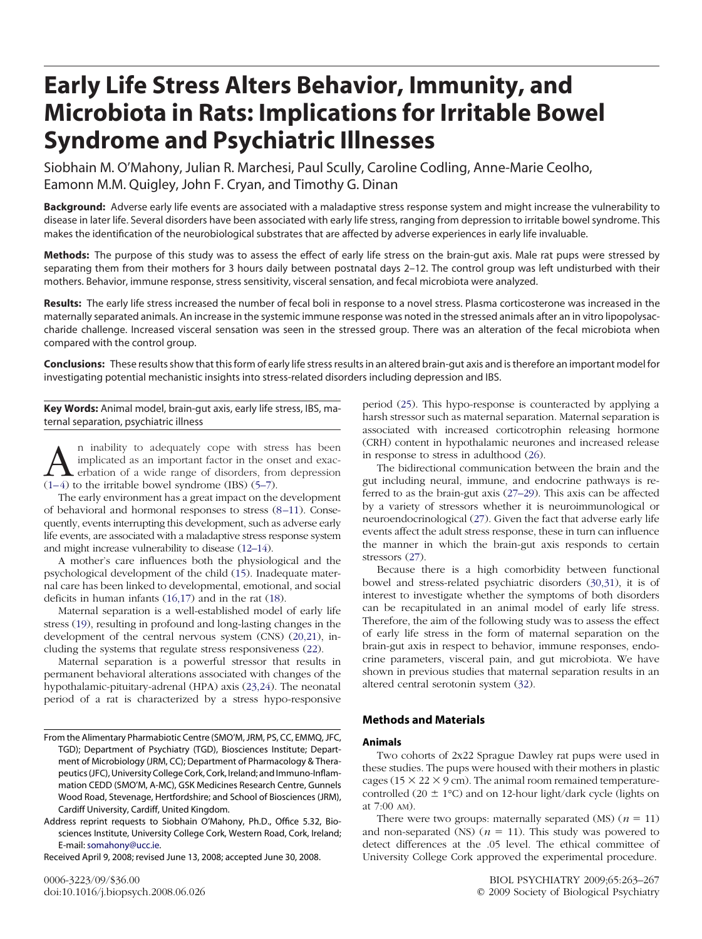# **Early Life Stress Alters Behavior, Immunity, and Microbiota in Rats: Implications for Irritable Bowel Syndrome and Psychiatric Illnesses**

Siobhain M. O'Mahony, Julian R. Marchesi, Paul Scully, Caroline Codling, Anne-Marie Ceolho, Eamonn M.M. Quigley, John F. Cryan, and Timothy G. Dinan

Background: Adverse early life events are associated with a maladaptive stress response system and might increase the vulnerability to disease in later life. Several disorders have been associated with early life stress, ranging from depression to irritable bowel syndrome. This makes the identification of the neurobiological substrates that are affected by adverse experiences in early life invaluable.

**Methods:** The purpose of this study was to assess the effect of early life stress on the brain-gut axis. Male rat pups were stressed by separating them from their mothers for 3 hours daily between postnatal days 2–12. The control group was left undisturbed with their mothers. Behavior, immune response, stress sensitivity, visceral sensation, and fecal microbiota were analyzed.

**Results:** The early life stress increased the number of fecal boli in response to a novel stress. Plasma corticosterone was increased in the maternally separated animals. An increase in the systemic immune response was noted in the stressed animals after an in vitro lipopolysaccharide challenge. Increased visceral sensation was seen in the stressed group. There was an alteration of the fecal microbiota when compared with the control group.

**Conclusions:** These results show that this form of early life stress results in an altered brain-gut axis and is therefore an important model for investigating potential mechanistic insights into stress-related disorders including depression and IBS.

**Key Words:** Animal model, brain-gut axis, early life stress, IBS, maternal separation, psychiatric illness

 $\sum_{n=1}^{\infty}$  n inability to adequately cope with stress has been implicated as an important factor in the onset and exaction of a wide range of disorders, from depression (1–4) to the irritable bowel syndrome (IBS) (5–7 implicated as an important factor in the onset and exac- $(1-4)$  to the irritable bowel syndrome (IBS)  $(5-7)$ .

The early environment has a great impact on the development of behavioral and hormonal responses to stress  $(8-11)$ . Consequently, events interrupting this development, such as adverse early life events, are associated with a maladaptive stress response system and might increase vulnerability to disease [\(12–14\)](#page-3-0).

A mother's care influences both the physiological and the psychological development of the child [\(15\)](#page-4-0). Inadequate maternal care has been linked to developmental, emotional, and social deficits in human infants [\(16,17\)](#page-4-0) and in the rat [\(18\)](#page-4-0).

Maternal separation is a well-established model of early life stress [\(19\)](#page-4-0), resulting in profound and long-lasting changes in the development of the central nervous system (CNS) [\(20,21\)](#page-4-0), including the systems that regulate stress responsiveness [\(22\)](#page-4-0).

Maternal separation is a powerful stressor that results in permanent behavioral alterations associated with changes of the hypothalamic-pituitary-adrenal (HPA) axis [\(23,24\)](#page-4-0). The neonatal period of a rat is characterized by a stress hypo-responsive

Received April 9, 2008; revised June 13, 2008; accepted June 30, 2008.

period [\(25\)](#page-4-0). This hypo-response is counteracted by applying a harsh stressor such as maternal separation. Maternal separation is associated with increased corticotrophin releasing hormone (CRH) content in hypothalamic neurones and increased release in response to stress in adulthood [\(26\)](#page-4-0).

The bidirectional communication between the brain and the gut including neural, immune, and endocrine pathways is referred to as the brain-gut axis [\(27–29\)](#page-4-0). This axis can be affected by a variety of stressors whether it is neuroimmunological or neuroendocrinological [\(27\)](#page-4-0). Given the fact that adverse early life events affect the adult stress response, these in turn can influence the manner in which the brain-gut axis responds to certain stressors  $(27)$ .

Because there is a high comorbidity between functional bowel and stress-related psychiatric disorders [\(30,31\)](#page-4-0), it is of interest to investigate whether the symptoms of both disorders can be recapitulated in an animal model of early life stress. Therefore, the aim of the following study was to assess the effect of early life stress in the form of maternal separation on the brain-gut axis in respect to behavior, immune responses, endocrine parameters, visceral pain, and gut microbiota. We have shown in previous studies that maternal separation results in an altered central serotonin system [\(32\)](#page-4-0).

## **Methods and Materials**

## **Animals**

Two cohorts of 2x22 Sprague Dawley rat pups were used in these studies. The pups were housed with their mothers in plastic cages ( $15 \times 22 \times 9$  cm). The animal room remained temperaturecontrolled (20  $\pm$  1°C) and on 12-hour light/dark cycle (lights on at 7:00 AM).

There were two groups: maternally separated  $(MS)$  ( $n = 11$ ) and non-separated (NS) ( $n = 11$ ). This study was powered to detect differences at the .05 level. The ethical committee of University College Cork approved the experimental procedure.

From the Alimentary Pharmabiotic Centre (SMO'M, JRM, PS, CC, EMMQ, JFC, TGD); Department of Psychiatry (TGD), Biosciences Institute; Department of Microbiology (JRM, CC); Department of Pharmacology & Therapeutics(JFC), University College Cork, Cork, Ireland; and Immuno-Inflammation CEDD (SMO'M, A-MC), GSK Medicines Research Centre, Gunnels Wood Road, Stevenage, Hertfordshire; and School of Biosciences (JRM), Cardiff University, Cardiff, United Kingdom.

Address reprint requests to Siobhain O'Mahony, Ph.D., Office 5.32, Biosciences Institute, University College Cork, Western Road, Cork, Ireland; E-mail: [somahony@ucc.ie.](mailto:somahony@ucc.ie)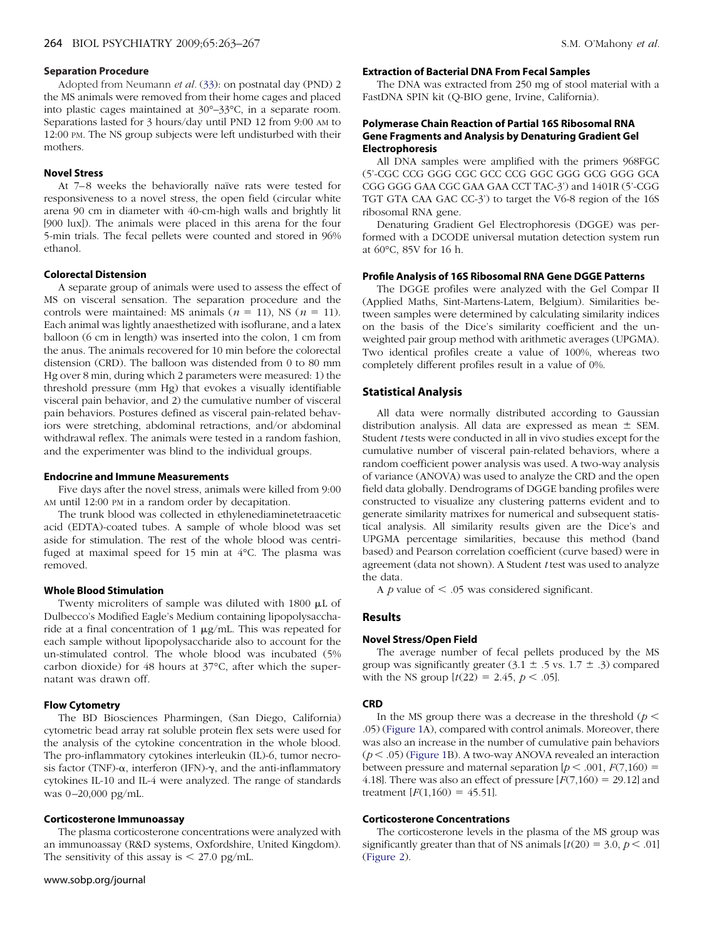## **Separation Procedure**

Adopted from Neumann *et al.* [\(33\)](#page-4-0): on postnatal day (PND) 2 the MS animals were removed from their home cages and placed into plastic cages maintained at 30°–33°C, in a separate room. Separations lasted for 3 hours/day until PND 12 from 9:00 AM to 12:00 PM. The NS group subjects were left undisturbed with their mothers.

### **Novel Stress**

At 7-8 weeks the behaviorally naïve rats were tested for responsiveness to a novel stress, the open field (circular white arena 90 cm in diameter with 40-cm-high walls and brightly lit [900 lux]). The animals were placed in this arena for the four 5-min trials. The fecal pellets were counted and stored in 96% ethanol.

#### **Colorectal Distension**

A separate group of animals were used to assess the effect of MS on visceral sensation. The separation procedure and the controls were maintained: MS animals  $(n = 11)$ , NS  $(n = 11)$ . Each animal was lightly anaesthetized with isoflurane, and a latex balloon (6 cm in length) was inserted into the colon, 1 cm from the anus. The animals recovered for 10 min before the colorectal distension (CRD). The balloon was distended from 0 to 80 mm Hg over 8 min, during which 2 parameters were measured: 1) the threshold pressure (mm Hg) that evokes a visually identifiable visceral pain behavior, and 2) the cumulative number of visceral pain behaviors. Postures defined as visceral pain-related behaviors were stretching, abdominal retractions, and/or abdominal withdrawal reflex. The animals were tested in a random fashion, and the experimenter was blind to the individual groups.

## **Endocrine and Immune Measurements**

Five days after the novel stress, animals were killed from 9:00 AM until 12:00 PM in a random order by decapitation.

The trunk blood was collected in ethylenediaminetetraacetic acid (EDTA)-coated tubes. A sample of whole blood was set aside for stimulation. The rest of the whole blood was centrifuged at maximal speed for 15 min at 4°C. The plasma was removed.

#### **Whole Blood Stimulation**

Twenty microliters of sample was diluted with  $1800 \mu L$  of Dulbecco's Modified Eagle's Medium containing lipopolysaccharide at a final concentration of 1  $\mu$ g/mL. This was repeated for each sample without lipopolysaccharide also to account for the un-stimulated control. The whole blood was incubated (5% carbon dioxide) for 48 hours at 37°C, after which the supernatant was drawn off.

## **Flow Cytometry**

The BD Biosciences Pharmingen, (San Diego, California) cytometric bead array rat soluble protein flex sets were used for the analysis of the cytokine concentration in the whole blood. The pro-inflammatory cytokines interleukin (IL)-6, tumor necrosis factor (TNF)- $\alpha$ , interferon (IFN)- $\gamma$ , and the anti-inflammatory cytokines IL-10 and IL-4 were analyzed. The range of standards was 0-20,000 pg/mL.

#### **Corticosterone Immunoassay**

The plasma corticosterone concentrations were analyzed with an immunoassay (R&D systems, Oxfordshire, United Kingdom). The sensitivity of this assay is  $\leq$  27.0 pg/mL.

### www.sobp.org/journal

# **Extraction of Bacterial DNA From Fecal Samples**

The DNA was extracted from 250 mg of stool material with a FastDNA SPIN kit (Q-BIO gene, Irvine, California).

## **Polymerase Chain Reaction of Partial 16S Ribosomal RNA Gene Fragments and Analysis by Denaturing Gradient Gel Electrophoresis**

All DNA samples were amplified with the primers 968FGC (5'-CGC CCG GGG CGC GCC CCG GGC GGG GCG GGG GCA CGG GGG GAA CGC GAA GAA CCT TAC-3') and 1401R (5'-CGG TGT GTA CAA GAC CC-3') to target the V6-8 region of the 16S ribosomal RNA gene.

Denaturing Gradient Gel Electrophoresis (DGGE) was performed with a DCODE universal mutation detection system run at 60°C, 85V for 16 h.

## **Profile Analysis of 16S Ribosomal RNA Gene DGGE Patterns**

The DGGE profiles were analyzed with the Gel Compar II (Applied Maths, Sint-Martens-Latem, Belgium). Similarities between samples were determined by calculating similarity indices on the basis of the Dice's similarity coefficient and the unweighted pair group method with arithmetic averages (UPGMA). Two identical profiles create a value of 100%, whereas two completely different profiles result in a value of 0%.

# **Statistical Analysis**

All data were normally distributed according to Gaussian distribution analysis. All data are expressed as mean  $\pm$  SEM. Student *t* tests were conducted in all in vivo studies except for the cumulative number of visceral pain-related behaviors, where a random coefficient power analysis was used. A two-way analysis of variance (ANOVA) was used to analyze the CRD and the open field data globally. Dendrograms of DGGE banding profiles were constructed to visualize any clustering patterns evident and to generate similarity matrixes for numerical and subsequent statistical analysis. All similarity results given are the Dice's and UPGMA percentage similarities, because this method (band based) and Pearson correlation coefficient (curve based) were in agreement (data not shown). A Student *t* test was used to analyze the data.

A  $p$  value of  $\leq$  .05 was considered significant.

#### **Results**

## **Novel Stress/Open Field**

The average number of fecal pellets produced by the MS group was significantly greater  $(3.1 \pm .5 \text{ vs. } 1.7 \pm .3)$  compared with the NS group  $[t(22) = 2.45, p < .05]$ .

#### **CRD**

In the MS group there was a decrease in the threshold ( $p <$ .05) [\(Figure 1A](#page-2-0)), compared with control animals. Moreover, there was also an increase in the number of cumulative pain behaviors  $(p < .05)$  [\(Figure 1B](#page-2-0)). A two-way ANOVA revealed an interaction between pressure and maternal separation  $[p < .001, F(7,160) =$ 4.18]. There was also an effect of pressure  $[F(7,160) = 29.12]$  and treatment  $[F(1,160) = 45.51]$ .

#### **Corticosterone Concentrations**

The corticosterone levels in the plasma of the MS group was significantly greater than that of NS animals  $[t(20) = 3.0, p < .01]$ [\(Figure 2\)](#page-2-0).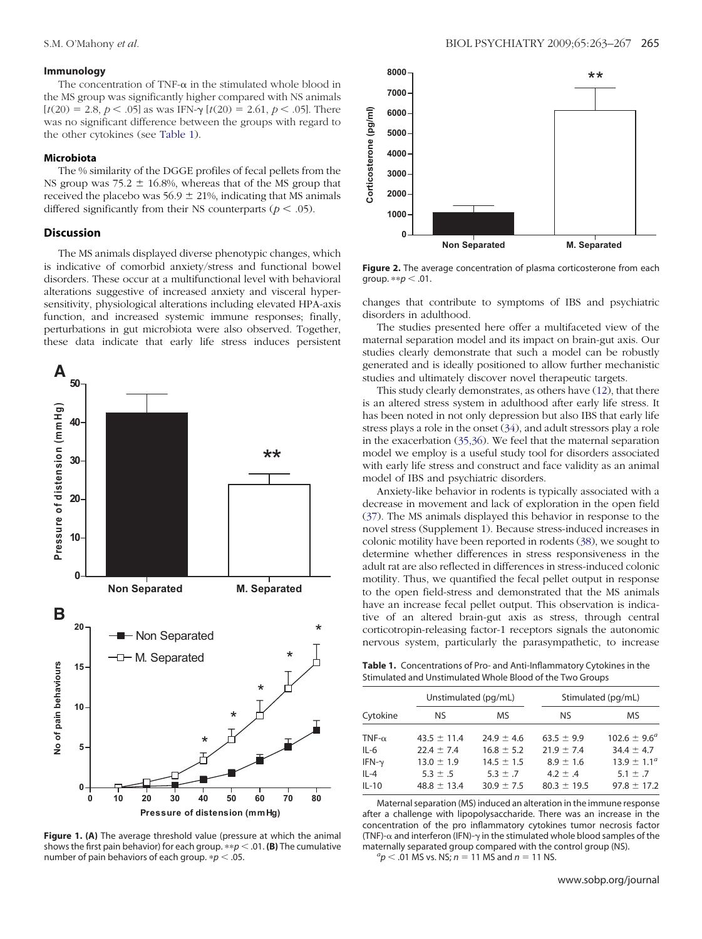## <span id="page-2-0"></span>**Immunology**

The concentration of TNF- $\alpha$  in the stimulated whole blood in the MS group was significantly higher compared with NS animals  $[t(20) = 2.8, p < .05]$  as was IFN- $\gamma$   $[t(20) = 2.61, p < .05]$ . There was no significant difference between the groups with regard to the other cytokines (see Table 1).

#### **Microbiota**

The % similarity of the DGGE profiles of fecal pellets from the NS group was  $75.2 \pm 16.8$ %, whereas that of the MS group that received the placebo was  $56.9 \pm 21$ %, indicating that MS animals differed significantly from their NS counterparts ( $p < .05$ ).

## **Discussion**

The MS animals displayed diverse phenotypic changes, which is indicative of comorbid anxiety/stress and functional bowel disorders. These occur at a multifunctional level with behavioral alterations suggestive of increased anxiety and visceral hypersensitivity, physiological alterations including elevated HPA-axis function, and increased systemic immune responses; finally, perturbations in gut microbiota were also observed. Together, these data indicate that early life stress induces persistent



**Figure 1. (A)** The average threshold value (pressure at which the animal shows the first pain behavior) for each group.  $\ast \not\circ p < .01$ . **(B)** The cumulative number of pain behaviors of each group.  $/p < .05$ .



**Figure 2.** The average concentration of plasma corticosterone from each group.  $* p < .01$ .

changes that contribute to symptoms of IBS and psychiatric disorders in adulthood.

The studies presented here offer a multifaceted view of the maternal separation model and its impact on brain-gut axis. Our studies clearly demonstrate that such a model can be robustly generated and is ideally positioned to allow further mechanistic studies and ultimately discover novel therapeutic targets.

This study clearly demonstrates, as others have [\(12\)](#page-3-0), that there is an altered stress system in adulthood after early life stress. It has been noted in not only depression but also IBS that early life stress plays a role in the onset [\(34\)](#page-4-0), and adult stressors play a role in the exacerbation [\(35,36\)](#page-4-0). We feel that the maternal separation model we employ is a useful study tool for disorders associated with early life stress and construct and face validity as an animal model of IBS and psychiatric disorders.

Anxiety-like behavior in rodents is typically associated with a decrease in movement and lack of exploration in the open field [\(37\)](#page-4-0). The MS animals displayed this behavior in response to the novel stress (Supplement 1). Because stress-induced increases in colonic motility have been reported in rodents [\(38\)](#page-4-0), we sought to determine whether differences in stress responsiveness in the adult rat are also reflected in differences in stress-induced colonic motility. Thus, we quantified the fecal pellet output in response to the open field-stress and demonstrated that the MS animals have an increase fecal pellet output. This observation is indicative of an altered brain-gut axis as stress, through central corticotropin-releasing factor-1 receptors signals the autonomic nervous system, particularly the parasympathetic, to increase

**Table 1.** Concentrations of Pro- and Anti-Inflammatory Cytokines in the Stimulated and Unstimulated Whole Blood of the Two Groups

| Cytokine      | Unstimulated (pg/mL) |                | Stimulated (pg/mL) |                         |
|---------------|----------------------|----------------|--------------------|-------------------------|
|               | NS.                  | MS.            | NS.                | ΜS                      |
| TNF- $\alpha$ | $43.5 \pm 11.4$      | $24.9 \pm 4.6$ | $63.5 \pm 9.9$     | $102.6 \pm 9.6^{\circ}$ |
| $IL-6$        | $22.4 \pm 7.4$       | $16.8 \pm 5.2$ | $21.9 \pm 7.4$     | $34.4 \pm 4.7$          |
| IFN- $\gamma$ | $13.0 \pm 1.9$       | $14.5 \pm 1.5$ | $8.9 \pm 1.6$      | $13.9 \pm 1.1^{\circ}$  |
| $IL-4$        | $5.3 \pm .5$         | $5.3 \pm .7$   | $4.2 \pm .4$       | $5.1 \pm .7$            |
| $IL-10$       | $48.8 \pm 13.4$      | $30.9 \pm 7.5$ | $80.3 \pm 19.5$    | $97.8 \pm 17.2$         |

Maternal separation (MS) induced an alteration in the immune response after a challenge with lipopolysaccharide. There was an increase in the concentration of the pro inflammatory cytokines tumor necrosis factor (TNF)- $\alpha$  and interferon (IFN)- $\gamma$  in the stimulated whole blood samples of the maternally separated group compared with the control group (NS). *<sup>a</sup>*

 ${}^{a}p$  < .01 MS vs. NS; *n* = 11 MS and *n* = 11 NS.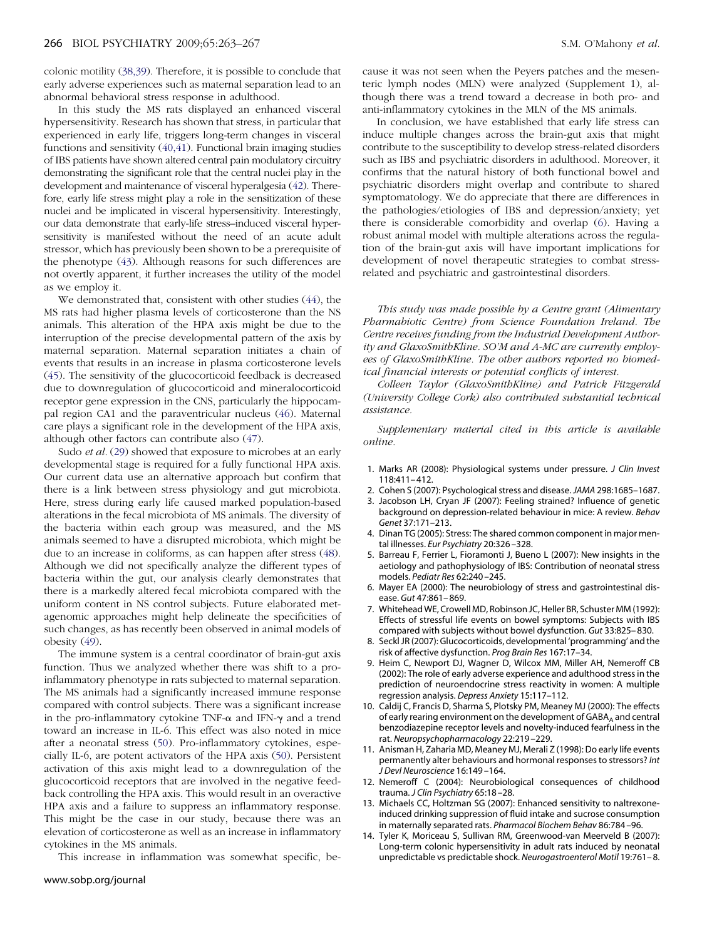<span id="page-3-0"></span>colonic motility [\(38,39\)](#page-4-0). Therefore, it is possible to conclude that early adverse experiences such as maternal separation lead to an abnormal behavioral stress response in adulthood.

In this study the MS rats displayed an enhanced visceral hypersensitivity. Research has shown that stress, in particular that experienced in early life, triggers long-term changes in visceral functions and sensitivity [\(40,41\)](#page-4-0). Functional brain imaging studies of IBS patients have shown altered central pain modulatory circuitry demonstrating the significant role that the central nuclei play in the development and maintenance of visceral hyperalgesia [\(42\)](#page-4-0). Therefore, early life stress might play a role in the sensitization of these nuclei and be implicated in visceral hypersensitivity. Interestingly, our data demonstrate that early-life stress–induced visceral hypersensitivity is manifested without the need of an acute adult stressor, which has previously been shown to be a prerequisite of the phenotype [\(43\)](#page-4-0). Although reasons for such differences are not overtly apparent, it further increases the utility of the model as we employ it.

We demonstrated that, consistent with other studies [\(44\)](#page-4-0), the MS rats had higher plasma levels of corticosterone than the NS animals. This alteration of the HPA axis might be due to the interruption of the precise developmental pattern of the axis by maternal separation. Maternal separation initiates a chain of events that results in an increase in plasma corticosterone levels [\(45\)](#page-4-0). The sensitivity of the glucocorticoid feedback is decreased due to downregulation of glucocorticoid and mineralocorticoid receptor gene expression in the CNS, particularly the hippocampal region CA1 and the paraventricular nucleus [\(46\)](#page-4-0). Maternal care plays a significant role in the development of the HPA axis, although other factors can contribute also [\(47\)](#page-4-0).

Sudo *et al.* [\(29\)](#page-4-0) showed that exposure to microbes at an early developmental stage is required for a fully functional HPA axis. Our current data use an alternative approach but confirm that there is a link between stress physiology and gut microbiota. Here, stress during early life caused marked population-based alterations in the fecal microbiota of MS animals. The diversity of the bacteria within each group was measured, and the MS animals seemed to have a disrupted microbiota, which might be due to an increase in coliforms, as can happen after stress [\(48\)](#page-4-0). Although we did not specifically analyze the different types of bacteria within the gut, our analysis clearly demonstrates that there is a markedly altered fecal microbiota compared with the uniform content in NS control subjects. Future elaborated metagenomic approaches might help delineate the specificities of such changes, as has recently been observed in animal models of obesity [\(49\)](#page-4-0).

The immune system is a central coordinator of brain-gut axis function. Thus we analyzed whether there was shift to a proinflammatory phenotype in rats subjected to maternal separation. The MS animals had a significantly increased immune response compared with control subjects. There was a significant increase in the pro-inflammatory cytokine TNF- $\alpha$  and IFN- $\gamma$  and a trend toward an increase in IL-6. This effect was also noted in mice after a neonatal stress [\(50\)](#page-4-0). Pro-inflammatory cytokines, especially IL-6, are potent activators of the HPA axis [\(50\)](#page-4-0). Persistent activation of this axis might lead to a downregulation of the glucocorticoid receptors that are involved in the negative feedback controlling the HPA axis. This would result in an overactive HPA axis and a failure to suppress an inflammatory response. This might be the case in our study, because there was an elevation of corticosterone as well as an increase in inflammatory cytokines in the MS animals.

This increase in inflammation was somewhat specific, be-

cause it was not seen when the Peyers patches and the mesenteric lymph nodes (MLN) were analyzed (Supplement 1), although there was a trend toward a decrease in both pro- and anti-inflammatory cytokines in the MLN of the MS animals.

In conclusion, we have established that early life stress can induce multiple changes across the brain-gut axis that might contribute to the susceptibility to develop stress-related disorders such as IBS and psychiatric disorders in adulthood. Moreover, it confirms that the natural history of both functional bowel and psychiatric disorders might overlap and contribute to shared symptomatology. We do appreciate that there are differences in the pathologies/etiologies of IBS and depression/anxiety; yet there is considerable comorbidity and overlap (6). Having a robust animal model with multiple alterations across the regulation of the brain-gut axis will have important implications for development of novel therapeutic strategies to combat stressrelated and psychiatric and gastrointestinal disorders.

*This study was made possible by a Centre grant (Alimentary Pharmabiotic Centre) from Science Foundation Ireland. The Centre receives funding from the Industrial Development Authority and GlaxoSmithKline. SO'M and A-MC are currently employees of GlaxoSmithKline. The other authors reported no biomedical financial interests or potential conflicts of interest.*

*Colleen Taylor (GlaxoSmithKline) and Patrick Fitzgerald (University College Cork) also contributed substantial technical assistance.*

*Supplementary material cited in this article is available online.*

- 1. Marks AR (2008): Physiological systems under pressure. *J Clin Invest* 118:411– 412.
- 2. Cohen S (2007): Psychological stress and disease.*JAMA* 298:1685–1687.
- 3. Jacobson LH, Cryan JF (2007): Feeling strained? Influence of genetic background on depression-related behaviour in mice: A review. *Behav Genet* 37:171–213.
- 4. Dinan TG (2005): Stress: The shared common component in major mental illnesses. *Eur Psychiatry* 20:326 –328.
- 5. Barreau F, Ferrier L, Fioramonti J, Bueno L (2007): New insights in the aetiology and pathophysiology of IBS: Contribution of neonatal stress models. *Pediatr Res* 62:240 –245.
- 6. Mayer EA (2000): The neurobiology of stress and gastrointestinal disease. *Gut* 47:861– 869.
- 7. Whitehead WE, Crowell MD, Robinson JC, Heller BR, Schuster MM (1992): Effects of stressful life events on bowel symptoms: Subjects with IBS compared with subjects without bowel dysfunction. *Gut* 33:825– 830.
- 8. Seckl JR (2007): Glucocorticoids, developmental 'programming' and the risk of affective dysfunction. *Prog Brain Res* 167:17–34.
- 9. Heim C, Newport DJ, Wagner D, Wilcox MM, Miller AH, Nemeroff CB (2002): The role of early adverse experience and adulthood stress in the prediction of neuroendocrine stress reactivity in women: A multiple regression analysis. *Depress Anxiety* 15:117–112.
- 10. Caldij C, Francis D, Sharma S, Plotsky PM, Meaney MJ (2000): The effects of early rearing environment on the development of GABAA and central benzodiazepine receptor levels and novelty-induced fearfulness in the rat. *Neuropsychopharmacology* 22:219 –229.
- 11. Anisman H, Zaharia MD, Meaney MJ, Merali Z (1998): Do early life events permanently alter behaviours and hormonal responses to stressors? *Int J Devl Neuroscience* 16:149 –164.
- 12. Nemeroff C (2004): Neurobiological consequences of childhood trauma. *J Clin Psychiatry* 65:18 –28.
- 13. Michaels CC, Holtzman SG (2007): Enhanced sensitivity to naltrexoneinduced drinking suppression of fluid intake and sucrose consumption in maternally separated rats. *Pharmacol Biochem Behav* 86:784 –96.
- 14. Tyler K, Moriceau S, Sullivan RM, Greenwood-van Meerveld B (2007): Long-term colonic hypersensitivity in adult rats induced by neonatal unpredictable vs predictable shock. *Neurogastroenterol Motil* 19:761– 8.